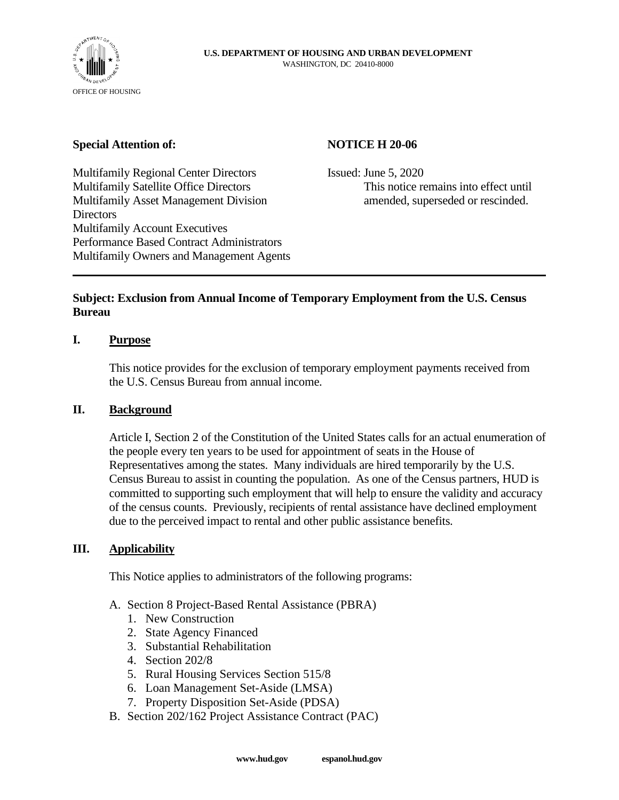

### **Special Attention of:**

# **NOTICE H 20-06**

Multifamily Regional Center Directors Multifamily Satellite Office Directors Multifamily Asset Management Division Directors Multifamily Account Executives Performance Based Contract Administrators Multifamily Owners and Management Agents Issued: June 5, 2020 This notice remains into effect until amended, superseded or rescinded.

# **Subject: Exclusion from Annual Income of Temporary Employment from the U.S. Census Bureau**

# **I. Purpose**

This notice provides for the exclusion of temporary employment payments received from the U.S. Census Bureau from annual income.

#### **II. Background**

Article I, Section 2 of the Constitution of the United States calls for an actual enumeration of the people every ten years to be used for appointment of seats in the House of Representatives among the states. Many individuals are hired temporarily by the U.S. Census Bureau to assist in counting the population. As one of the Census partners, HUD is committed to supporting such employment that will help to ensure the validity and accuracy of the census counts. Previously, recipients of rental assistance have declined employment due to the perceived impact to rental and other public assistance benefits.

#### **III. Applicability**

This Notice applies to administrators of the following programs:

- A. Section 8 Project-Based Rental Assistance (PBRA)
	- 1. New Construction
	- 2. State Agency Financed
	- 3. Substantial Rehabilitation
	- 4. Section 202/8
	- 5. Rural Housing Services Section 515/8
	- 6. Loan Management Set-Aside (LMSA)
	- 7. Property Disposition Set-Aside (PDSA)
- B. Section 202/162 Project Assistance Contract (PAC)